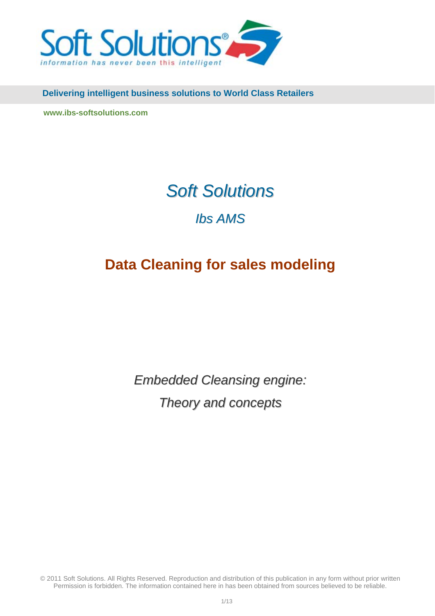

 **Delivering intelligent business solutions to World Class Retailers**

**[www.ibs-softsolutions.com](http://www.ibs-softsolutions.com/)** 

# *Soft Solutions*

# *Ibs AMS*

# **Data Cleaning for sales modeling**

*Embedded Cleansing engine: Theory and concepts*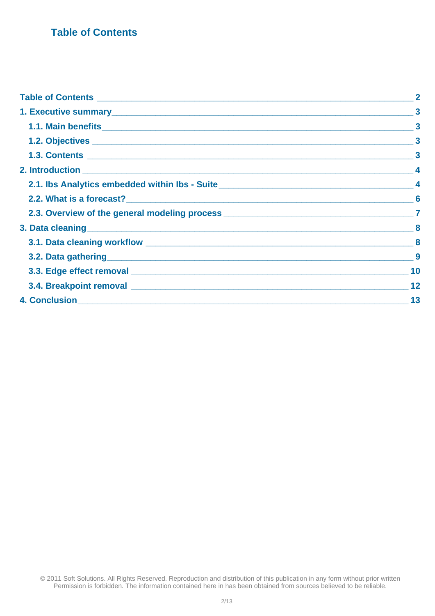# <span id="page-1-0"></span> **Table of Contents**

| Table of Contents <u>experiences</u>                                                   |
|----------------------------------------------------------------------------------------|
| $\boldsymbol{3}$                                                                       |
|                                                                                        |
| $\boldsymbol{3}$                                                                       |
|                                                                                        |
|                                                                                        |
| 2.1. Ibs Analytics embedded within Ibs - Suite__________________________________<br>-4 |
|                                                                                        |
|                                                                                        |
|                                                                                        |
|                                                                                        |
|                                                                                        |
|                                                                                        |
|                                                                                        |
| 4. Conclusion 13                                                                       |
|                                                                                        |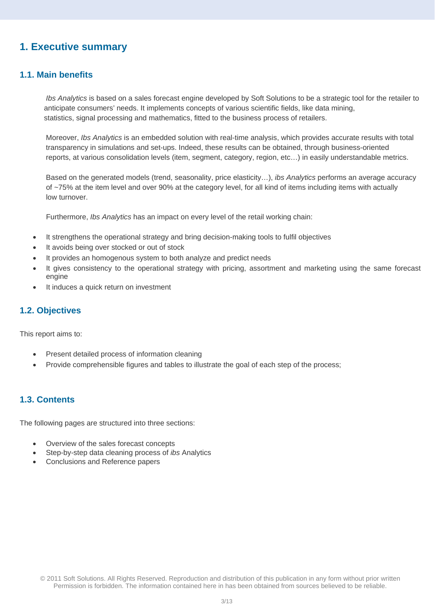# <span id="page-2-0"></span>**1. Executive summary**

# **1.1. Main benefits**

*Ibs Analytics* is based on a sales forecast engine developed by Soft Solutions to be a strategic tool for the retailer to anticipate consumers' needs. It implements concepts of various scientific fields, like data mining, statistics, signal processing and mathematics, fitted to the business process of retailers.

Moreover, *Ibs Analytics* is an embedded solution with real-time analysis, which provides accurate results with total transparency in simulations and set-ups. Indeed, these results can be obtained, through business-oriented reports, at various consolidation levels (item, segment, category, region, etc…) in easily understandable metrics.

Based on the generated models (trend, seasonality, price elasticity…), *ibs Analytics* performs an average accuracy of ~75% at the item level and over 90% at the category level, for all kind of items including items with actually low turnover.

Furthermore, *Ibs Analytics* has an impact on every level of the retail working chain:

- It strengthens the operational strategy and bring decision-making tools to fulfil objectives
- It avoids being over stocked or out of stock
- It provides an homogenous system to both analyze and predict needs
- It gives consistency to the operational strategy with pricing, assortment and marketing using the same forecast engine
- It induces a quick return on investment

## **1.2. Objectives**

This report aims to:

- Present detailed process of information cleaning
- Provide comprehensible figures and tables to illustrate the goal of each step of the process;

# **1.3. Contents**

The following pages are structured into three sections:

- Overview of the sales forecast concepts
- Step-by-step data cleaning process of *ibs* Analytics
- Conclusions and Reference papers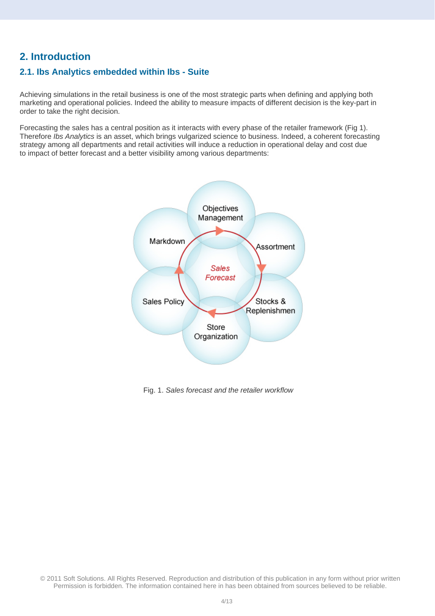# <span id="page-3-0"></span>**2. Introduction**

# **2 .1. Ibs Analytics embedded within Ibs - Suite**

marketing and operational policies. Indeed the ability to measure impacts of different decision is the key-part in Achieving simulations in the retail business is one of the most strategic parts when defining and applying both order to take the right decision.

Therefore *Ibs Analytics* is an asset, which brings vulgarized science to business. Indeed, a coherent forecasting strategy among all departments and retail activities will induce a reduction in operational delay and cost due to impact of better forecast and a better visibility among various departments: Forecasting the sales has a central position as it interacts with every phase of the retailer framework (Fig 1).



Fig. 1. *Sales forecast and the retailer workflow*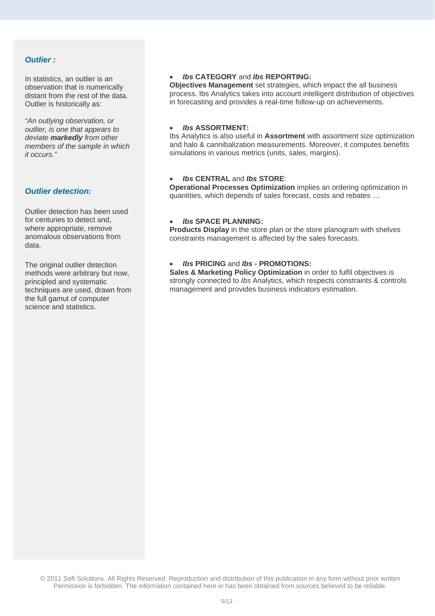### *Outlier :*

In statistics, an outlier is an observation that is numerically distant from the rest of the data. Outlier is historically as:

*"An outlying observation, or outlier, is one that appears to deviate markedly from other members of the sample in which it occurs."* 

#### *Outlier detection:*

Outlier detection has been used for centuries to detect and, where appropriate, remove anomalous observations from data.

The original outlier detection methods were arbitrary but now, principled and systematic techniques are used, drawn from the full gamut of computer science and statistics.

#### • *Ibs* **CATEGORY** and *Ibs* **REPORTING:**

**Objectives Management** set strategies, which impact the all business process. Ibs Analytics takes into account intelligent distribution of objectives in forecasting and provides a real-time follow-up on achievements.

#### • *Ibs* **ASSORTMENT:**

Ibs Analytics is also useful in **Assortment** with assortment size optimization and halo & cannibalization measurements. Moreover, it computes benefits simulations in various metrics (units, sales, margins).

#### • *Ibs* **CENTRAL** and *Ibs* **STORE**:

**Operational Processes Optimization** implies an ordering optimization in quantities, which depends of sales forecast, costs and rebates …

### • *Ibs* **SPACE PLANNING:**

**Products Display** in the store plan or the store planogram with shelves constraints management is affected by the sales forecasts.

#### • *Ibs* **PRICING** and *Ibs* **- PROMOTIONS:**

**Sales & Marketing Policy Optimization** in order to fulfil objectives is strongly connected to *Ibs* Analytics, which respects constraints & controls management and provides business indicators estimation.

<sup>© 2011</sup> Soft Solutions. All Rights Reserved. Reproduction and distribution of this publication in any form without prior written Permission is forbidden. The information contained here in has been obtained from sources believed to be reliable.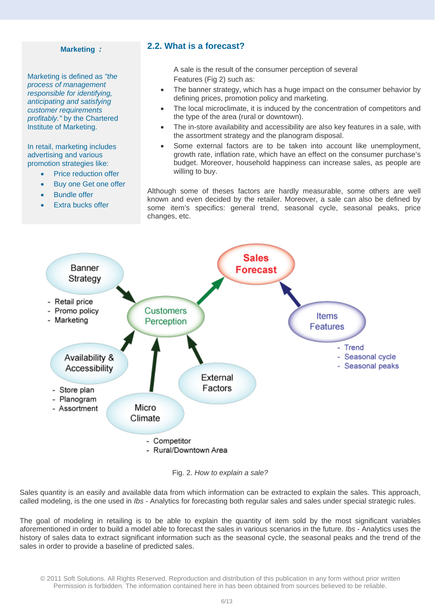#### <span id="page-5-0"></span>**Marketing** *:*

**Marketing is defined as "the** profitably." by the Chartered Institute of Marketing. *process of management responsible for identifying, anticipating and satisfying customer requirements* 

In retail, marketing includes advertising and various promotion strategies like:

- Price reduction offer
- Buy one Get one offer
- **Bundle offer**
- Extra bucks offer

### **.2. What is a forecast? 2**

A sale is the result of the co nsumer perception of several Features (Fig 2) such as:

- The banner strategy, which has a huge impact on the consumer behavior by defining prices, promotion policy and marketing.
- The local microclimate, it is induced by the concentration of competitors and the type of the area (rural or downtown).
- The in-store availability and accessibility are also key features in a sale, with the assortment strategy and the planogram disposal.
- budget. Moreover, household happiness can increase sales, as people are • Some external factors are to be taken into account like unemployment, growth rate, inflation rate, which have an effect on the consumer purchase's willing to buy.

some item's specifics: general trend, seasonal cycle, seasonal peaks, price changes, etc. Although some of theses factors are hardly measurable, some others are well known and even decided by the retailer. Moreover, a sale can also be defined by



Fig. 2. *How to explain a sale?* 

Sales quantity is an easily and available data from which information can be extracted to explain the sales. This approach, called modeling, is the one used in *Ibs* - Analytics for forecasting both regular sales and sales under special strategic rules.

The goal of modeling in retailing is to be able to explain the quantity of item sold by the most significant variables aforementioned in order to build a model able to forecast the sales in various scenarios in the future. *Ibs* - Analytics uses the history of sales data to extract significant information such as the seasonal cycle, the seasonal peaks and the trend of the s ales in order to provide a baseline of predicted sales.

<sup>© 2011</sup> Soft Solutions. All Rights Reserved. Reproduction and distribution of this publication in any form without prior written Permission is forbidden. The information contained here in has been obtained from sources believed to be reliable.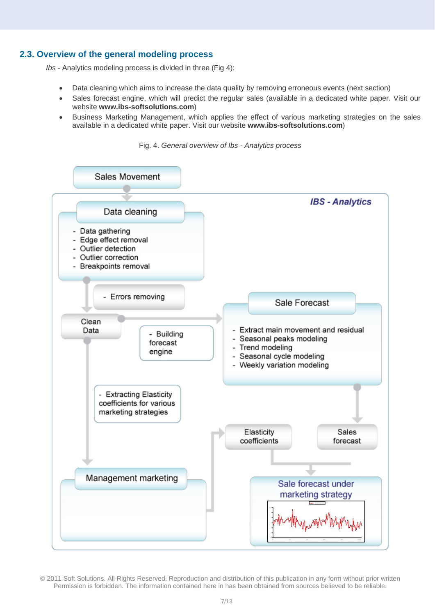### <span id="page-6-0"></span>**2.3. Ov erview of the general modeling process**

*Ibs* - Analytics modeling process is divided in three (Fig 4):

- Data cleaning which aims to increase the data quality by removing erroneous events (next section)
- Sales forecast engine, which will predict the regular sales (available in a dedicated white paper. Visit our website **www.ibs-softsolutions.com**)
- Business Marketing Management, which applies the effect of various marketing strategies on the sales available in a dedicated white paper. Visit our website **www.ibs-softsolutions.com**)

Fig. 4. *General overview of Ibs - Analytics process*

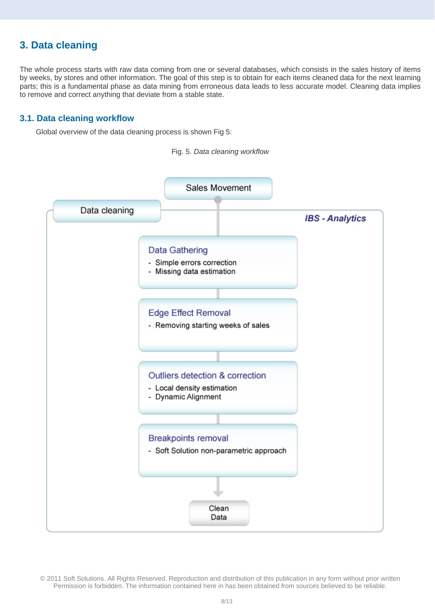# <span id="page-7-0"></span>**3. Data cleaning**

parts; this is a fundamental phase as data mining from erroneous data leads to less accurate model. Cleaning data implies to remove and correct anything that deviate from a stable state. The whole process starts with raw data coming from one or several databases, which consists in the sales history of items by weeks, by stores and other information. The goal of this step is to obtain for each items cleaned data for the next learning

### **3.1. Data cleaning workflow**

Global overview of the data cleaning process is shown Fig 5:

Fig. 5. *Data cleaning workflow* 

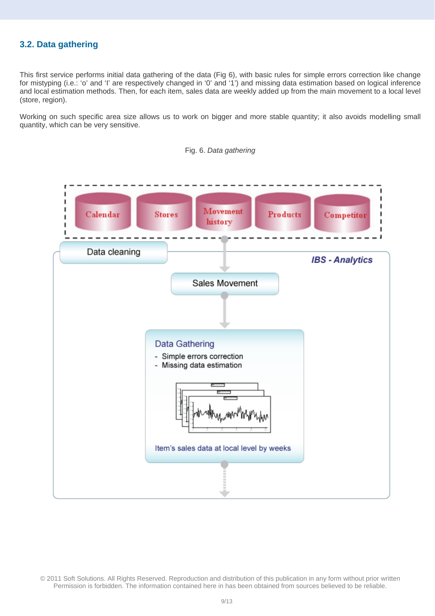# <span id="page-8-0"></span>**3.2. Data gathering**

and local estimation methods. Then, for each item, sales data are weekly added up from the main movement to a local level This first service performs initial data gathering of the data (Fig 6), with basic rules for simple errors correction like change for mistyping (i.e.: 'o' and 'I' are respectively changed in '0' and '1') and missing data estimation based on logical inference (store, region).

Working on such specific area size allows us to work on bigger and more stable quantity; it also avoids modelling small quantity, which can be very sensitive.

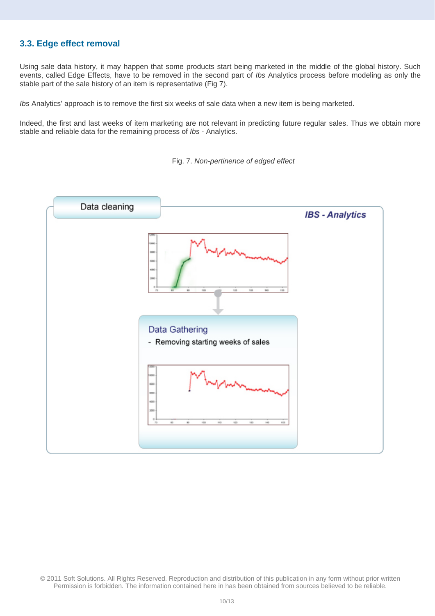# <span id="page-9-0"></span>**3.3. Edge effect removal**

Using sale data history, it may happen that some products start being marketed in the middle of the global history. Such events, called Edge Effects, have to be removed in the second part of *Ibs* Analytics process before modeling as only the stable part of the sale history of an item is representative (Fig 7).

*Ibs* Analytics' approach is to remove the first six weeks of sale data when a new item is being marketed.

Indeed, the first and last weeks of item marketing are not relevant in predicting future regular sales. Thus we obtain more stable and reliable data for the remaining process of *Ibs* - Analytics.



Fig. 7. *Non-pertinence of edged effect*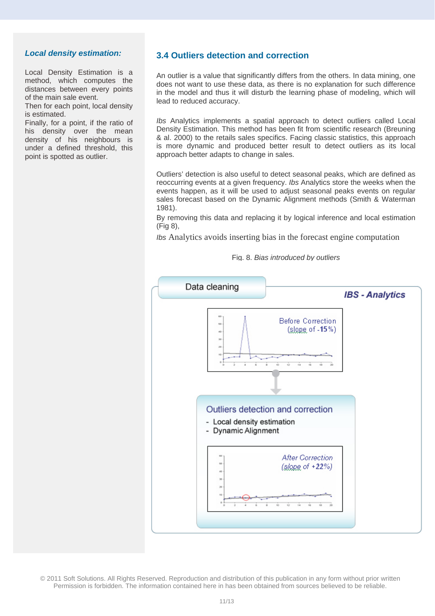#### *Local density estimation:*

[Local Density Estimation is a](http://www.ibs-softsolutions.com/)  [method, which computes the](http://www.ibs-softsolutions.com/)  [distances between every points](http://www.ibs-softsolutions.com/)  [of the main sale event.](http://www.ibs-softsolutions.com/) 

Then for each point, local density is estimated.

Finally, for a point, if the ratio of his density over the mean density of his neighbours is under a defined threshold, this point is spotted as outlier.

### **3.4 Outliers detection and correction**

An outlier is a value that significantly differs from the others. In data mining, one does not want to use these data, as there is no explanation for such difference in the model and thus it will disturb the learning phase of modeling, which will lead to reduced accuracy.

*Ibs* Analytics implements a spatial approach to detect outliers called Local Density Estimation. This method has been fit from scientific research (Breuning & al. 2000) to the retails sales specifics. Facing classic statistics, this approach is more dynamic and produced better result to detect outliers as its local approach better adapts to change in sales.

Outliers' detection is also useful to detect seasonal peaks, which are defined as reoccurring events at a given frequency. *Ibs* Analytics store the weeks when the events happen, as it will be used to adjust seasonal peaks events on regular sales forecast based on the Dynamic Alignment methods (Smith & Waterman 1981).

By removing this data and replacing it by logical inference and local estimation (Fig 8),

*Ibs* Analytics avoids inserting bias in the forecast engine computation

#### Fig. 8. *Bias introduced by outliers*

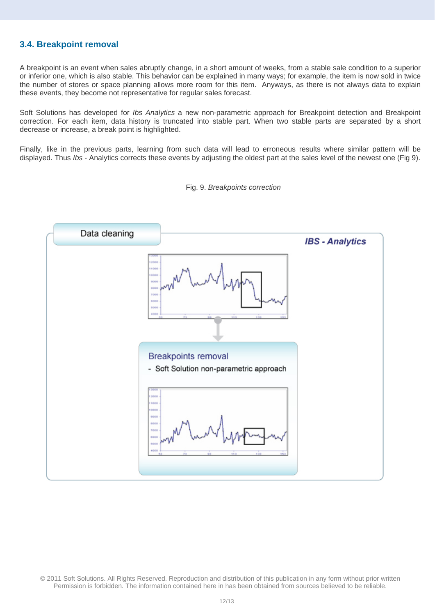# <span id="page-11-0"></span>**3.4. Breakpoint removal**

A breakpoint is an event when sales abruptly change, in a short amount of weeks, from a stable sale condition to a superior or inferior one, which is also stable. This behavior can be explained in many ways; for example, the item is now sold in twice the number of stores or space planning allows more room for this item. Anyways, as there is not always data to explain these events, they become not representative for regular sales forecast.

Soft Solutions has developed for *Ibs Analytics* a new non-parametric approach for Breakpoint detection and Breakpoint correction. For each item, data history is truncated into stable part. When two stable parts are separated by a short decrease or increase, a break point is highlighted.

Finally, like in the previous parts, learning from such data will lead to erroneous results where similar pattern will be displayed. Thus *Ibs* - Analytics corrects these events by adjusting the oldest part at the sales level of the newest one (Fig 9).



Fig. 9. *Breakpoints correction*